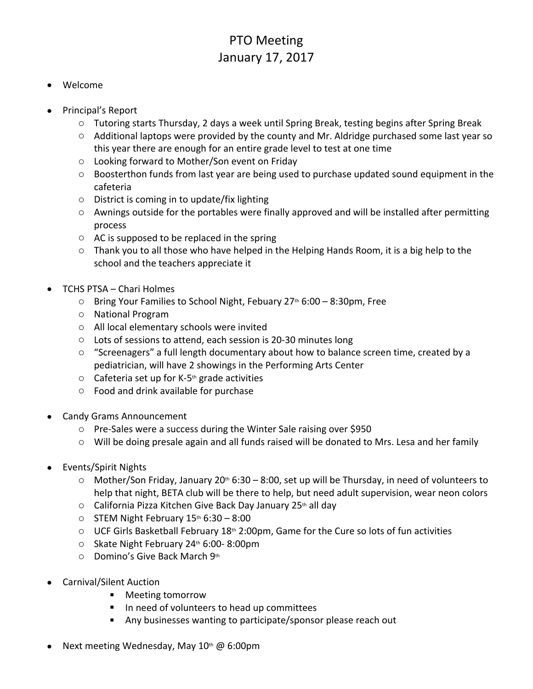## PTO Meeting January 17, 2017

## Welcome

- Principal's Report
	- o Tutoring starts Thursday, 2 days a week until Spring Break, testing begins after Spring Break
	- o Additional laptops were provided by the county and Mr. Aldridge purchased some last year so this year there are enough for an entire grade level to test at one time
	- o Looking forward to Mother/Son event on Friday
	- $\circ$  Boosterthon funds from last year are being used to purchase updated sound equipment in the cafeteria
	- o District is coming in to update/fix lighting
	- o Awnings outside for the portables were finally approved and will be installed after permitting process
	- $\circ$  AC is supposed to be replaced in the spring
	- o Thank you to all those who have helped in the Helping Hands Room, it is a big help to the school and the teachers appreciate it
- TCHS PTSA Chari Holmes
	- $\circ$  Bring Your Families to School Night, Febuary 27<sup>th</sup> 6:00 8:30pm, Free
	- o National Program
	- o All local elementary schools were invited
	- o Lots of sessions to attend, each session is 20-30 minutes long
	- o "Screenagers" a full length documentary about how to balance screen time, created by a pediatrician, will have 2 showings in the Performing Arts Center
	- $\circ$  Cafeteria set up for K-5<sup>th</sup> grade activities
	- o Food and drink available for purchase
- Candy Grams Announcement
	- o Pre-Sales were a success during the Winter Sale raising over \$950
	- o Will be doing presale again and all funds raised will be donated to Mrs. Lesa and her family
- Events/Spirit Nights
	- $\circ$  Mother/Son Friday, January 20<sup>th</sup> 6:30 8:00, set up will be Thursday, in need of volunteers to help that night, BETA club will be there to help, but need adult supervision, wear neon colors
	- $\circ$  California Pizza Kitchen Give Back Day January 25<sup>th</sup> all day
	- $\circ$  STEM Night February 15<sup>th</sup> 6:30 8:00
	- $\circ$  UCF Girls Basketball February 18<sup>th</sup> 2:00pm, Game for the Cure so lots of fun activities
	- o Skate Night February 24th 6:00- 8:00pm
	- o Domino's Give Back March 9th
- Carnival/Silent Auction
	- Meeting tomorrow
	- In need of volunteers to head up committees
	- Any businesses wanting to participate/sponsor please reach out
- Next meeting Wednesday, May 10th @ 6:00pm